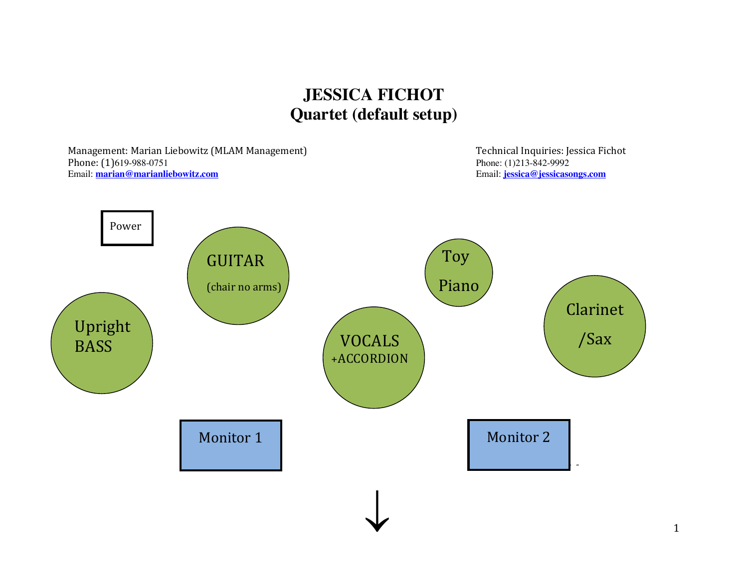## **JESSICA FICHOT Quartet (default setup)**

Management: Marian Liebowitz (MLAM Management) Management Technical Inquiries: Jessica Fichot Phone: (1)619-988-0751<br>
Email: <u>marian@marianliebowitz.com</u><br>
Email: <u>marian@marianliebowitz.com</u><br>
Email: <u>iessica@jessicasongs.com</u> Email: **marian@marianliebowitz.com** Email: **jessica@jessicasongs.com**